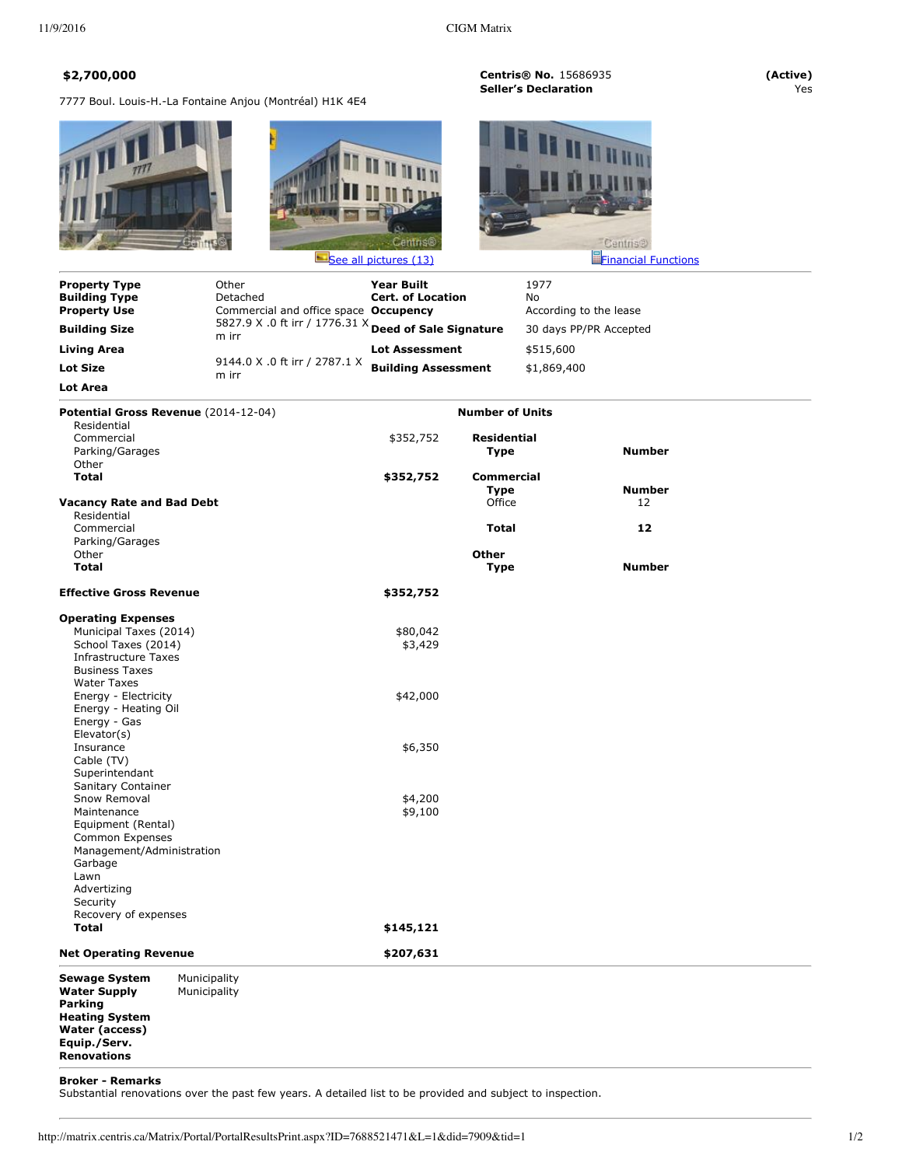7777 Boul. Louis-H.-La Fontaine Anjou (Montréal) H1K 4E4





**\$2,700,000 Centris® No.** 15686935 **(Active) Seller's Declaration** 



| <b>Property Type</b><br><b>Building Type</b> | Other<br>Detached                                              | <b>Year Built</b><br><b>Cert. of Location</b> |                        | 1977<br>No             |                        |  |
|----------------------------------------------|----------------------------------------------------------------|-----------------------------------------------|------------------------|------------------------|------------------------|--|
| <b>Property Use</b>                          | Commercial and office space Occupency                          |                                               |                        |                        | According to the lease |  |
| <b>Building Size</b>                         | 5827.9 X .0 ft irr / 1776.31 X Deed of Sale Signature<br>m irr |                                               |                        | 30 days PP/PR Accepted |                        |  |
| Living Area                                  |                                                                | <b>Lot Assessment</b>                         |                        | \$515,600              |                        |  |
| Lot Size                                     | 9144.0 X .0 ft irr / 2787.1 X<br>m irr                         | <b>Building Assessment</b>                    |                        | \$1,869,400            |                        |  |
| Lot Area                                     |                                                                |                                               |                        |                        |                        |  |
| Potential Gross Revenue (2014-12-04)         |                                                                |                                               | <b>Number of Units</b> |                        |                        |  |
| Residential                                  |                                                                |                                               |                        |                        |                        |  |
| Commercial                                   |                                                                | \$352,752                                     | <b>Residential</b>     |                        |                        |  |
| Parking/Garages                              |                                                                |                                               | Type                   |                        | <b>Number</b>          |  |
| Other                                        |                                                                |                                               |                        |                        |                        |  |
| Total                                        |                                                                | \$352,752                                     | <b>Commercial</b>      |                        |                        |  |
|                                              |                                                                |                                               | Type                   |                        | <b>Number</b>          |  |
| <b>Vacancy Rate and Bad Debt</b>             |                                                                |                                               | Office                 |                        | 12                     |  |
| Residential                                  |                                                                |                                               |                        |                        |                        |  |
| Commercial                                   |                                                                |                                               | Total                  |                        | 12                     |  |
| $D = 1$ , $1 - 1$ , $D = 1 - 1$              |                                                                |                                               |                        |                        |                        |  |

| Parking/Garages<br>Other             |              |           | Other       |               |
|--------------------------------------|--------------|-----------|-------------|---------------|
| <b>Total</b>                         |              |           | <b>Type</b> | <b>Number</b> |
| <b>Effective Gross Revenue</b>       |              | \$352,752 |             |               |
| <b>Operating Expenses</b>            |              |           |             |               |
| Municipal Taxes (2014)               |              | \$80,042  |             |               |
| School Taxes (2014)                  |              | \$3,429   |             |               |
| <b>Infrastructure Taxes</b>          |              |           |             |               |
| <b>Business Taxes</b>                |              |           |             |               |
| <b>Water Taxes</b>                   |              |           |             |               |
| Energy - Electricity                 |              | \$42,000  |             |               |
| Energy - Heating Oil                 |              |           |             |               |
| Energy - Gas                         |              |           |             |               |
| Elevator(s)                          |              |           |             |               |
| Insurance                            |              | \$6,350   |             |               |
| Cable (TV)                           |              |           |             |               |
| Superintendant                       |              |           |             |               |
| Sanitary Container                   |              |           |             |               |
| Snow Removal                         |              | \$4,200   |             |               |
| Maintenance                          |              | \$9,100   |             |               |
| Equipment (Rental)                   |              |           |             |               |
| Common Expenses                      |              |           |             |               |
| Management/Administration            |              |           |             |               |
| Garbage<br>Lawn                      |              |           |             |               |
| Advertizing                          |              |           |             |               |
| Security                             |              |           |             |               |
|                                      |              |           |             |               |
| Recovery of expenses<br><b>Total</b> |              | \$145,121 |             |               |
|                                      |              |           |             |               |
| <b>Net Operating Revenue</b>         |              | \$207,631 |             |               |
| <b>Sewage System</b>                 | Municipality |           |             |               |
| <b>Water Supply</b>                  | Municipality |           |             |               |
| Parking                              |              |           |             |               |

## **Broker - Remarks**

**Heating System Water (access) Equip./Serv. Renovations**

Substantial renovations over the past few years. A detailed list to be provided and subject to inspection.